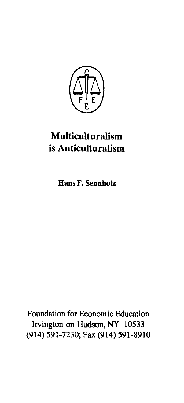

## **Multiculturalism**  is **Anticulturalism**

Hans F. Sennholz

Foundation for Economic Education Irvington-on-Hudson, NY 10533 (914) 591-7230; Fax (914) 591-8910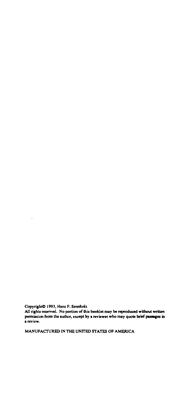Copyright<sup>®</sup> 1993, Hans F. Sennholz

 $\ddot{\phantom{0}}$ 

All rights reserved. No portion of this booklet may be reproduced without written **permission &om the author, except by • reviewer who may quote brief pusaces in a review.** 

MANUFACTURED IN THE UNITED STATES OF AMERICA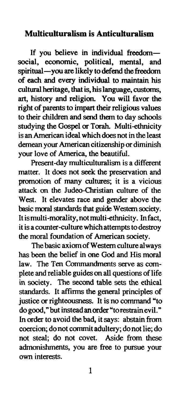## **Multiculturalism is Anticulturalism**

If you believe in individual freedomsocial, economic, political, mental, and spiritual-you are likely to defend the freedom of each and every individual to maintain his cultural heritage, that is, his language, customs, art, history and religion. You will favor the right of parents to impart their religious values to their children and send them to day schools studying the Gospel or Torah. Multi-ethnicity is an American ideal which does not in the least demean your American citizenship or diminish your love of America, the beautiful.

Present-day multiculturalism is a different matter. It does not seek the preservation and promotion of many cultures; it is a vicious attack on the Judeo-Christian culture of the West. It elevates race and gender above the basic moral standards that guide Western society. It is multi-morality, notmulti-ethnicity. In fact, it is a counter-culture which attempts to destroy the moral foundation of American society.

The basic axiom of Western culture always has been the belief in one God and His moral law. The Ten Commandments serve as complete and reliable guides on all questions of life in society. The second table sets the ethical standards. It affirms the general principles of justice or righteousness. It is no command "to do good," but instead an order "to restrain evil." In order to avoid the bad, it says: abstain from coercion; do not commit adultery; do not lie; do not steal; do not covet. Aside from these admonishments, you are free to pursue your own interests.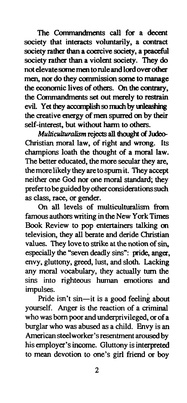The Commandments call for a decent society that interacts voluntarily, a contract society rather than a coercive society, a peaceful society rather than a violent society. They do not elevate some men toruleand lord over other men, nor do they commission some to manage the economic lives of others. On the contrary, the Commandments set out merely to restrain evil. Yet they accomplish so much by unleashing the creative energy of men spurred on by their self-interest, but without harm to others.

*Multiculturalism* rejects all thought of Judeo-Christian moral law, of right and wrong. Its champions loath the thought of a moral law. The better educated, the more secular they are, the more likely they are to spurn it. They accept neither one God nor one moral standard; they prefer to be guided by other considerations such as class, race, or gender.

On all levels of multiculturalism from famous authors writing in the New York Times Book Review to pop entertainers talking on television, they all berate and deride Christian values. They love to strike at the notion of sin, especially the "seven deadly sins": pride, anger, envy, gluttony, greed, lust, and sloth. Lacking any moral vocabulary, they actually turn the sins into righteous human emotions and impulses.

Pride isn't sin-it is a good feeling about yourself. Anger is the reaction of a criminal who was born poor and underprivileged, or of a burglar who was abused as a child. Envy is an American steelworker's resentment aroused by his employer's income. Gluttony is interpreted to mean devotion to one's girl friend or boy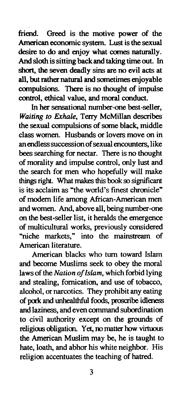friend. Greed is the motive power of the American economic system. Lust is the sexual desire to do and enjoy what comes naturally. And sloth is sitting back and taking time out. In short, the seven deadly sins are no evil acts at all, but rather natmal and sometimes enjoyable compulsions. There is no thought of impulse control, ethical value, and moral conduct.

In her sensational number-one best-seller, *Waiting to Exhale,* Terry McMillan describes the sexual compulsions of some black, middle class women. Husbands or lovers move on in an endless succession of sexual encounters, like bees searching for nectar. There is no thought of morality and impulse control, only lust and the search for men who hopefully will make things right. What makes this book so significant is its acclaim as "the world's finest chronicle" of modern life among African-American men and women. And, above all, being number-one on the best-seller list, it heralds the emergence of multicultural works, previously considered "niche markets." into the mainstream of American literature.

American blacks who turn toward Islam and become Muslims seek to obey the moral laws of the *Nation of Islam,* which forbid lying and stealing, fornication, and use of tobacco, alcohol, or narcotics. They prohibit any eating of pock and unhealthful foods, proocribe idleness and laziness, and even command subordination to civil authority except on the grounds of religious obligation. Yet, no matter how virtuous the American Muslim may be, he is taught to hate, loath, and abhor his white neighbor. His religion accentuates the teaching of hatred.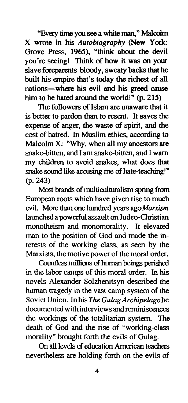"Evezy time you see a white man," MalcoJm X wrote in his *Autobiography* (New York: Grove Press, 1965), "think about the devil you're seeing! Think of how it was on your slave foreparents bloody, sweaty backs that he built his empire that's today the richest of all nations-where his evil and his greed cause him to be hated around the world!"  $(p. 215)$ 

The followers of Islam are unaware that it is better to pardon than to resent. It saves the expense of anger, the waste of spirit, and the cost of hatred. In Muslim ethics, according to Malcolm X: "Why, when all my ancestors are snake-bitten, and I am snake-bitten, and I warn my children to avoid snakes, what does that snake sound like accusing me of hate-teaching!" (p. 243)

Most brands of multiculturalism spring from European roots which have given rise to much evil. More than one hundred years ago *Marxism* launched a powerful assault on Judeo-Christian monotheism and monomorality. It elevated man to the position of God and made the interests of the working class, as seen by the Marxists, the motive power of the moral order.

Countless millions of human beings perished in the labor camps of this moral order. In his novels Alexander Solzhenitsyn described the human tragedy in the vast camp system of the Soviet Union. In his *The Gulag Archipelago* he documented with interviews and reminiscences the workings of the totalitarian system. The death of God and the rise of "working-class morality" brought forth the evils of Gulag.

On all levels of education American teachers nevertheless are holding forth on the evils of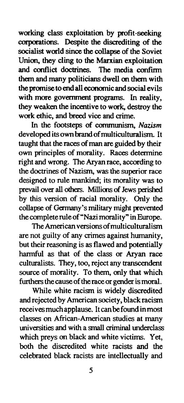working class exploitation by profit-seeking corporations. Despite the discrediting of the socialist world since the collapse of the Soviet Union, they cling to the Marxian exploitation and conflict doctrines. The media confirm them and many politicians dwell on them with the promise to end all economic and social evils with more govermnent programs. In reality, they weaken the incentive to work, destroy the work ethic, and breed vice and crime.

In the footsteps of communism, *Nazism*  developed its own brand of multiculturalism. It taught that the races of man are guided by their own principles of morality. Races determine right and wrong. The Aryan race, according to the doctrines of Nazism, was the superior race designed to rule mankind; its morality was to prevail over all others. Millions of Jews perished by this version of racial morality. Only the collapse of Germany's military might prevented thecompleteruleof"Nazi morality" in Europe.

The American versions of multiculturalism are not guilty of any crimes against humanity, but their reasoning is as flawed and potentially hannful as that of the class or Aryan race culturalists. They, too, reject any transcendent source of morality. To them, only that which furthers the cause of the race or gender is moral.

While white racism is widely discredited and rejected by American society, black racism receives much applause. It can be found inmost classes on African-American studies at many universities and with a small criminal underclass which preys on black and white victims. Yet, both the discredited white racists and the celebrated black racists are intellectually and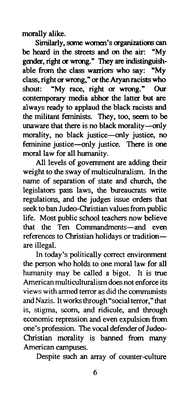morally alike.

Similarly, some women's organizations can be heard in the streets and on the air: "My gender, right or wrong." They are indistinguishable from the class warriors who say: "My able from the class warriors who say: class, right or wrong," or the Aryan racists who shout: "My race, right or wrong." Our contemporary media abhor the latter but are always ready to applaud the black racists and the militant feminists. They, too, seem to be unaware that there is no black morality-only morality, no black justice-only justice, no feminine justice-only justice. There is one moral law for all humanity.

All levels of government are adding their weight to the sway of multiculturalism. In the name of separation of state and church, the legislators pass laws, the bureaucrats write regulations, and the judges issue orders that seek to ban Judeo-Christian values from public life. Most public school teachers now believe that the Ten Commandments-and even references to Christian holidays or traditionare illegal.

In today's politically correct environment the person who holds to one moral law for all humanity may be called a bigot. It is true American multiculturalism does not enforce its views with armed terror as did the communists and Nazis. It works through "social terror," that is, stigma, scorn, and ridicule, and through economic repression and even expulsion from one's profession. The vocal defender of Judeo-Christian morality is banned from many American campuses.

Despite such an array of counter-culture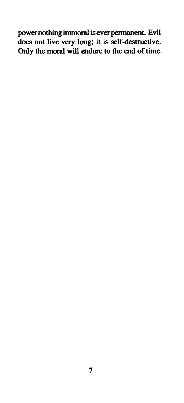power nothing immoral is ever permanent. Evil does not live very long; it is self-destructive. Only the moral will endure to the end of time.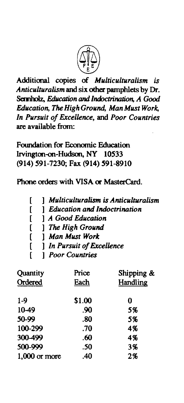

Additional copies of *Multiculturalism is Anticulturalism* and six other pamphlets by Dr. Semholz, *Education and Indoctrination, A Good Education, The High Ground, Man Must Work, In Pursuit of Excellence,* and *Poor Countries*  are available from:

Foundation for Economic Education Irvington-on-Hudson, NY 10533 (914) 591-7230; Fax (914) 591-8910

Phone orders with VISA or MasterCard.

|  |  | Multiculturalism is Anticulturalism |
|--|--|-------------------------------------|
|--|--|-------------------------------------|

- [ ] *Education and Indoctrination*
- [ ] *A Good Education*
- [ ] *The High Ground*
- [ ] *Man Must Work*
- [ ] *In Pursuit of Excellence*
- [ ] *Poor Countries*

| Quantity        | Price<br>Each | Shipping &<br>Handling |
|-----------------|---------------|------------------------|
| Ordered         |               |                        |
| $1-9$           | \$1.00        | 0                      |
| 10-49           | .90           | 5%                     |
| 50-99           | .80           | 5%                     |
| 100-299         | .70           | 4%                     |
| 300-499         | .60           | 4%                     |
| 500-999         | .50           | 3%                     |
| $1,000$ or more | .40           | 2%                     |
|                 |               |                        |